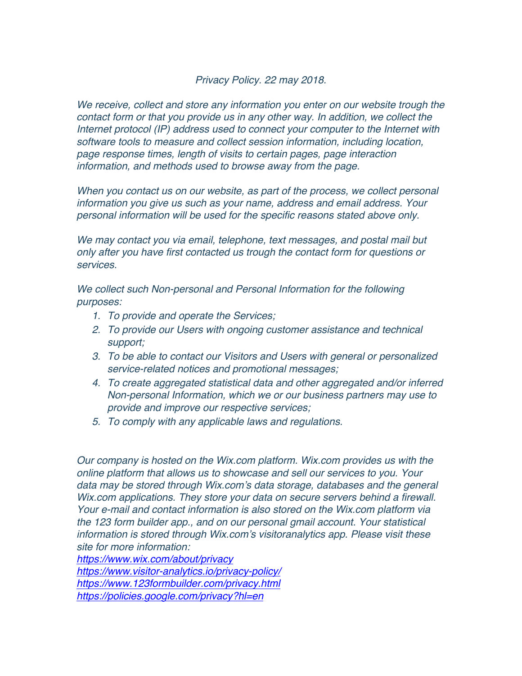## *Privacy Policy. 22 may 2018.*

*We receive, collect and store any information you enter on our website trough the contact form or that you provide us in any other way. In addition, we collect the Internet protocol (IP) address used to connect your computer to the Internet with software tools to measure and collect session information, including location, page response times, length of visits to certain pages, page interaction information, and methods used to browse away from the page.* 

*When you contact us on our website, as part of the process, we collect personal information you give us such as your name, address and email address. Your personal information will be used for the specific reasons stated above only.*

*We may contact you via email, telephone, text messages, and postal mail but only after you have first contacted us trough the contact form for questions or services.* 

*We collect such Non-personal and Personal Information for the following purposes:*

- *1. To provide and operate the Services;*
- *2. To provide our Users with ongoing customer assistance and technical support;*
- *3. To be able to contact our Visitors and Users with general or personalized service-related notices and promotional messages;*
- *4. To create aggregated statistical data and other aggregated and/or inferred Non-personal Information, which we or our business partners may use to provide and improve our respective services;*
- *5. To comply with any applicable laws and regulations.*

*Our company is hosted on the Wix.com platform. Wix.com provides us with the online platform that allows us to showcase and sell our services to you. Your*  data may be stored through Wix.com's data storage, databases and the general *Wix.com applications. They store your data on secure servers behind a firewall. Your e-mail and contact information is also stored on the Wix.com platform via the 123 form builder app., and on our personal gmail account. Your statistical information is stored through Wix.com's visitoranalytics app. Please visit these site for more information:*

*https://www.wix.com/about/privacy*

*https://www.visitor-analytics.io/privacy-policy/ https://www.123formbuilder.com/privacy.html https://policies.google.com/privacy?hl=en*